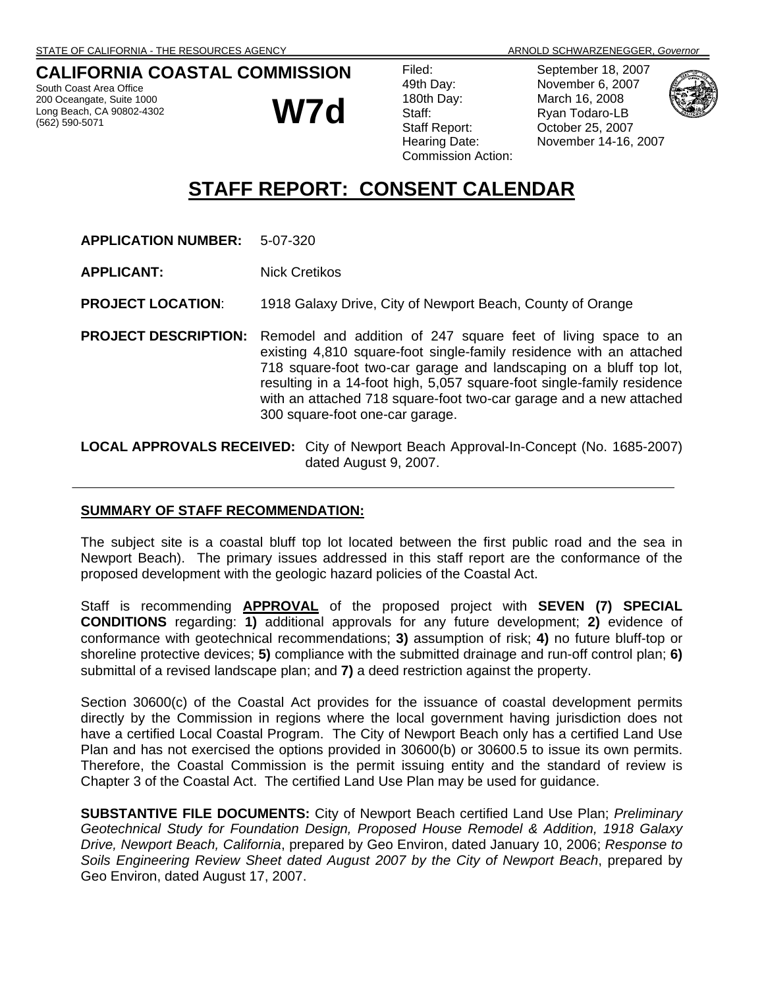## **CALIFORNIA COASTAL COMMISSION**

South Coast Area Office 200 Oceangate, Suite 1000 Long Beach, CA 90802-4302 (562) 590-5071

**W7d**

| Filed:                    |
|---------------------------|
| 49th Day:                 |
| 180th Day:                |
| Staff:                    |
| Staff Report:             |
| Hearing Date:             |
| <b>Commission Action:</b> |
|                           |

September 18, 2007 November 6, 2007 March 16, 2008 Ryan Todaro-LB October 25, 2007 November 14-16, 2007



# **STAFF REPORT: CONSENT CALENDAR**

- **APPLICATION NUMBER:** 5-07-320
- **APPLICANT:** Nick Cretikos

**PROJECT LOCATION**: 1918 Galaxy Drive, City of Newport Beach, County of Orange

**PROJECT DESCRIPTION:** Remodel and addition of 247 square feet of living space to an existing 4,810 square-foot single-family residence with an attached 718 square-foot two-car garage and landscaping on a bluff top lot, resulting in a 14-foot high, 5,057 square-foot single-family residence with an attached 718 square-foot two-car garage and a new attached 300 square-foot one-car garage.

**LOCAL APPROVALS RECEIVED:** City of Newport Beach Approval-In-Concept (No. 1685-2007) dated August 9, 2007.

#### **SUMMARY OF STAFF RECOMMENDATION:**

The subject site is a coastal bluff top lot located between the first public road and the sea in Newport Beach). The primary issues addressed in this staff report are the conformance of the proposed development with the geologic hazard policies of the Coastal Act.

Staff is recommending **APPROVAL** of the proposed project with **SEVEN (7) SPECIAL CONDITIONS** regarding: **1)** additional approvals for any future development; **2)** evidence of conformance with geotechnical recommendations; **3)** assumption of risk; **4)** no future bluff-top or shoreline protective devices; **5)** compliance with the submitted drainage and run-off control plan; **6)** submittal of a revised landscape plan; and **7)** a deed restriction against the property.

Section 30600(c) of the Coastal Act provides for the issuance of coastal development permits directly by the Commission in regions where the local government having jurisdiction does not have a certified Local Coastal Program. The City of Newport Beach only has a certified Land Use Plan and has not exercised the options provided in 30600(b) or 30600.5 to issue its own permits. Therefore, the Coastal Commission is the permit issuing entity and the standard of review is Chapter 3 of the Coastal Act. The certified Land Use Plan may be used for guidance.

**SUBSTANTIVE FILE DOCUMENTS:** City of Newport Beach certified Land Use Plan; *Preliminary Geotechnical Study for Foundation Design, Proposed House Remodel & Addition, 1918 Galaxy Drive, Newport Beach, California*, prepared by Geo Environ, dated January 10, 2006; *Response to Soils Engineering Review Sheet dated August 2007 by the City of Newport Beach*, prepared by Geo Environ, dated August 17, 2007.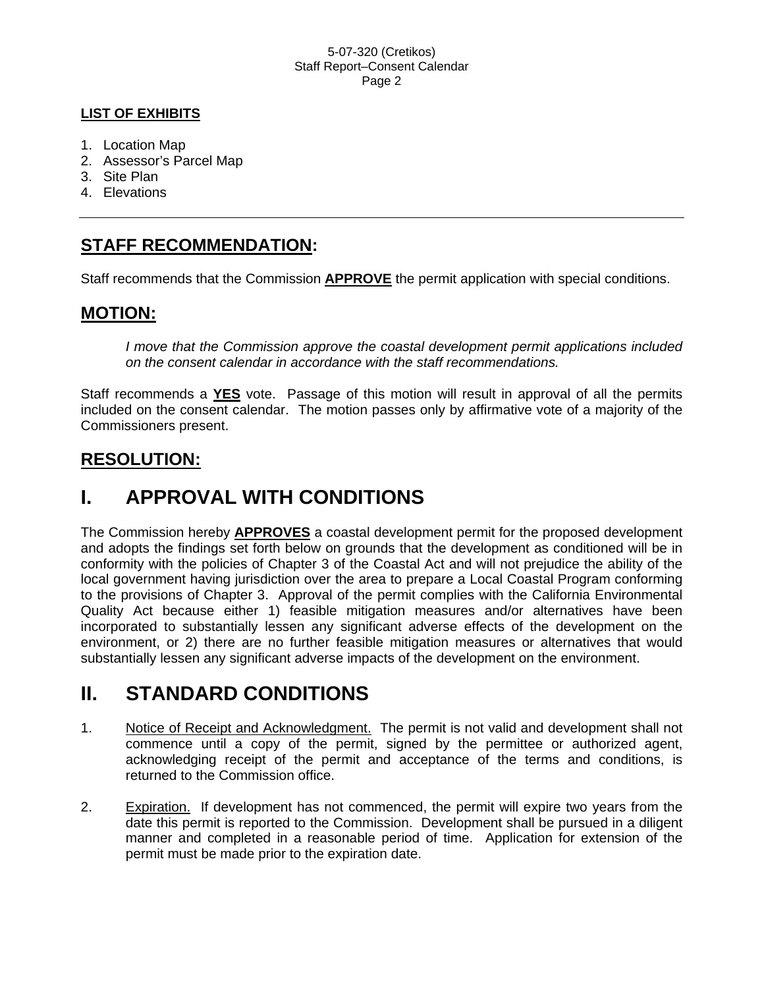### **LIST OF EXHIBITS**

- 1. Location Map
- 2. Assessor's Parcel Map
- 3. Site Plan
- 4. Elevations

## **STAFF RECOMMENDATION:**

Staff recommends that the Commission **APPROVE** the permit application with special conditions.

## **MOTION:**

*I move that the Commission approve the coastal development permit applications included on the consent calendar in accordance with the staff recommendations.*

Staff recommends a **YES** vote. Passage of this motion will result in approval of all the permits included on the consent calendar. The motion passes only by affirmative vote of a majority of the Commissioners present.

## **RESOLUTION:**

# **I. APPROVAL WITH CONDITIONS**

The Commission hereby **APPROVES** a coastal development permit for the proposed development and adopts the findings set forth below on grounds that the development as conditioned will be in conformity with the policies of Chapter 3 of the Coastal Act and will not prejudice the ability of the local government having jurisdiction over the area to prepare a Local Coastal Program conforming to the provisions of Chapter 3. Approval of the permit complies with the California Environmental Quality Act because either 1) feasible mitigation measures and/or alternatives have been incorporated to substantially lessen any significant adverse effects of the development on the environment, or 2) there are no further feasible mitigation measures or alternatives that would substantially lessen any significant adverse impacts of the development on the environment.

# **II. STANDARD CONDITIONS**

- 1. Notice of Receipt and Acknowledgment. The permit is not valid and development shall not commence until a copy of the permit, signed by the permittee or authorized agent, acknowledging receipt of the permit and acceptance of the terms and conditions, is returned to the Commission office.
- 2. Expiration. If development has not commenced, the permit will expire two years from the date this permit is reported to the Commission. Development shall be pursued in a diligent manner and completed in a reasonable period of time. Application for extension of the permit must be made prior to the expiration date.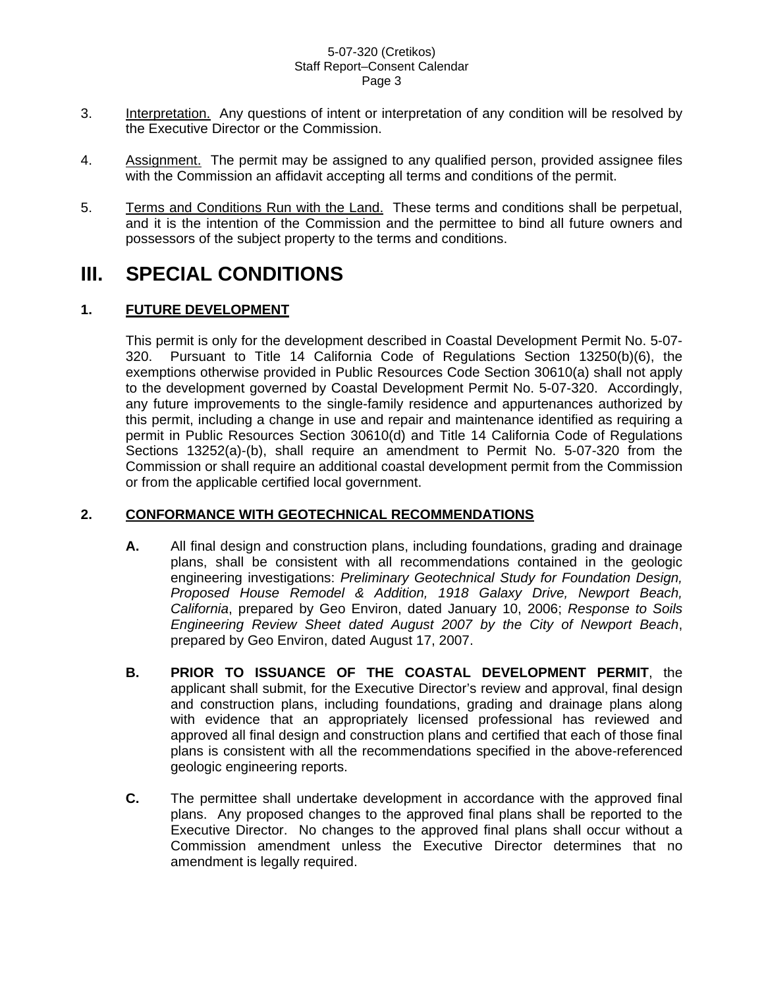- 3. Interpretation. Any questions of intent or interpretation of any condition will be resolved by the Executive Director or the Commission.
- 4. Assignment. The permit may be assigned to any qualified person, provided assignee files with the Commission an affidavit accepting all terms and conditions of the permit.
- 5. Terms and Conditions Run with the Land. These terms and conditions shall be perpetual, and it is the intention of the Commission and the permittee to bind all future owners and possessors of the subject property to the terms and conditions.

# **III. SPECIAL CONDITIONS**

### **1. FUTURE DEVELOPMENT**

This permit is only for the development described in Coastal Development Permit No. 5-07- 320. Pursuant to Title 14 California Code of Regulations Section 13250(b)(6), the exemptions otherwise provided in Public Resources Code Section 30610(a) shall not apply to the development governed by Coastal Development Permit No. 5-07-320. Accordingly, any future improvements to the single-family residence and appurtenances authorized by this permit, including a change in use and repair and maintenance identified as requiring a permit in Public Resources Section 30610(d) and Title 14 California Code of Regulations Sections 13252(a)-(b), shall require an amendment to Permit No. 5-07-320 from the Commission or shall require an additional coastal development permit from the Commission or from the applicable certified local government.

#### **2. CONFORMANCE WITH GEOTECHNICAL RECOMMENDATIONS**

- **A.** All final design and construction plans, including foundations, grading and drainage plans, shall be consistent with all recommendations contained in the geologic engineering investigations: *Preliminary Geotechnical Study for Foundation Design, Proposed House Remodel & Addition, 1918 Galaxy Drive, Newport Beach, California*, prepared by Geo Environ, dated January 10, 2006; *Response to Soils Engineering Review Sheet dated August 2007 by the City of Newport Beach*, prepared by Geo Environ, dated August 17, 2007.
- **B. PRIOR TO ISSUANCE OF THE COASTAL DEVELOPMENT PERMIT**, the applicant shall submit, for the Executive Director's review and approval, final design and construction plans, including foundations, grading and drainage plans along with evidence that an appropriately licensed professional has reviewed and approved all final design and construction plans and certified that each of those final plans is consistent with all the recommendations specified in the above-referenced geologic engineering reports.
- **C.** The permittee shall undertake development in accordance with the approved final plans. Any proposed changes to the approved final plans shall be reported to the Executive Director. No changes to the approved final plans shall occur without a Commission amendment unless the Executive Director determines that no amendment is legally required.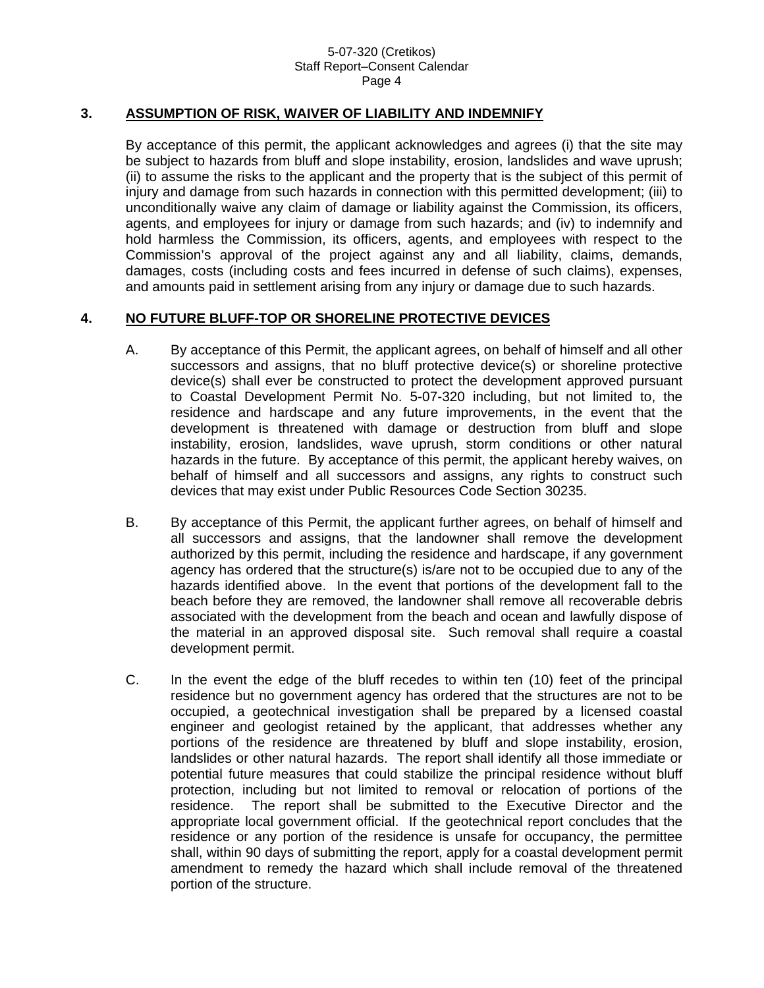#### **3. ASSUMPTION OF RISK, WAIVER OF LIABILITY AND INDEMNIFY**

By acceptance of this permit, the applicant acknowledges and agrees (i) that the site may be subject to hazards from bluff and slope instability, erosion, landslides and wave uprush; (ii) to assume the risks to the applicant and the property that is the subject of this permit of injury and damage from such hazards in connection with this permitted development; (iii) to unconditionally waive any claim of damage or liability against the Commission, its officers, agents, and employees for injury or damage from such hazards; and (iv) to indemnify and hold harmless the Commission, its officers, agents, and employees with respect to the Commission's approval of the project against any and all liability, claims, demands, damages, costs (including costs and fees incurred in defense of such claims), expenses, and amounts paid in settlement arising from any injury or damage due to such hazards.

#### **4. NO FUTURE BLUFF-TOP OR SHORELINE PROTECTIVE DEVICES**

- A. By acceptance of this Permit, the applicant agrees, on behalf of himself and all other successors and assigns, that no bluff protective device(s) or shoreline protective device(s) shall ever be constructed to protect the development approved pursuant to Coastal Development Permit No. 5-07-320 including, but not limited to, the residence and hardscape and any future improvements, in the event that the development is threatened with damage or destruction from bluff and slope instability, erosion, landslides, wave uprush, storm conditions or other natural hazards in the future. By acceptance of this permit, the applicant hereby waives, on behalf of himself and all successors and assigns, any rights to construct such devices that may exist under Public Resources Code Section 30235.
- B. By acceptance of this Permit, the applicant further agrees, on behalf of himself and all successors and assigns, that the landowner shall remove the development authorized by this permit, including the residence and hardscape, if any government agency has ordered that the structure(s) is/are not to be occupied due to any of the hazards identified above. In the event that portions of the development fall to the beach before they are removed, the landowner shall remove all recoverable debris associated with the development from the beach and ocean and lawfully dispose of the material in an approved disposal site. Such removal shall require a coastal development permit.
- C. In the event the edge of the bluff recedes to within ten (10) feet of the principal residence but no government agency has ordered that the structures are not to be occupied, a geotechnical investigation shall be prepared by a licensed coastal engineer and geologist retained by the applicant, that addresses whether any portions of the residence are threatened by bluff and slope instability, erosion, landslides or other natural hazards. The report shall identify all those immediate or potential future measures that could stabilize the principal residence without bluff protection, including but not limited to removal or relocation of portions of the residence. The report shall be submitted to the Executive Director and the appropriate local government official. If the geotechnical report concludes that the residence or any portion of the residence is unsafe for occupancy, the permittee shall, within 90 days of submitting the report, apply for a coastal development permit amendment to remedy the hazard which shall include removal of the threatened portion of the structure.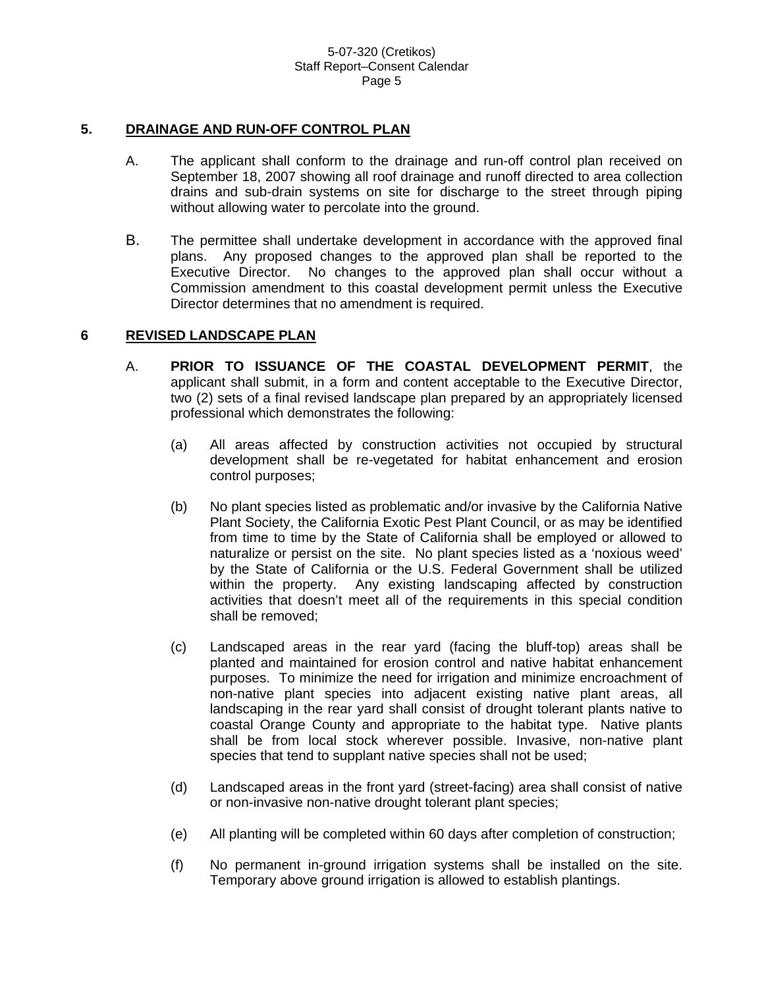#### **5. DRAINAGE AND RUN-OFF CONTROL PLAN**

- A. The applicant shall conform to the drainage and run-off control plan received on September 18, 2007 showing all roof drainage and runoff directed to area collection drains and sub-drain systems on site for discharge to the street through piping without allowing water to percolate into the ground.
- B. The permittee shall undertake development in accordance with the approved final plans. Any proposed changes to the approved plan shall be reported to the Executive Director. No changes to the approved plan shall occur without a Commission amendment to this coastal development permit unless the Executive Director determines that no amendment is required.

#### **6 REVISED LANDSCAPE PLAN**

- A. **PRIOR TO ISSUANCE OF THE COASTAL DEVELOPMENT PERMIT**, the applicant shall submit, in a form and content acceptable to the Executive Director, two (2) sets of a final revised landscape plan prepared by an appropriately licensed professional which demonstrates the following:
	- (a) All areas affected by construction activities not occupied by structural development shall be re-vegetated for habitat enhancement and erosion control purposes;
	- (b) No plant species listed as problematic and/or invasive by the California Native Plant Society, the California Exotic Pest Plant Council, or as may be identified from time to time by the State of California shall be employed or allowed to naturalize or persist on the site. No plant species listed as a 'noxious weed' by the State of California or the U.S. Federal Government shall be utilized within the property. Any existing landscaping affected by construction activities that doesn't meet all of the requirements in this special condition shall be removed;
	- (c) Landscaped areas in the rear yard (facing the bluff-top) areas shall be planted and maintained for erosion control and native habitat enhancement purposes. To minimize the need for irrigation and minimize encroachment of non-native plant species into adjacent existing native plant areas, all landscaping in the rear yard shall consist of drought tolerant plants native to coastal Orange County and appropriate to the habitat type. Native plants shall be from local stock wherever possible. Invasive, non-native plant species that tend to supplant native species shall not be used;
	- (d) Landscaped areas in the front yard (street-facing) area shall consist of native or non-invasive non-native drought tolerant plant species;
	- (e) All planting will be completed within 60 days after completion of construction;
	- (f) No permanent in-ground irrigation systems shall be installed on the site. Temporary above ground irrigation is allowed to establish plantings.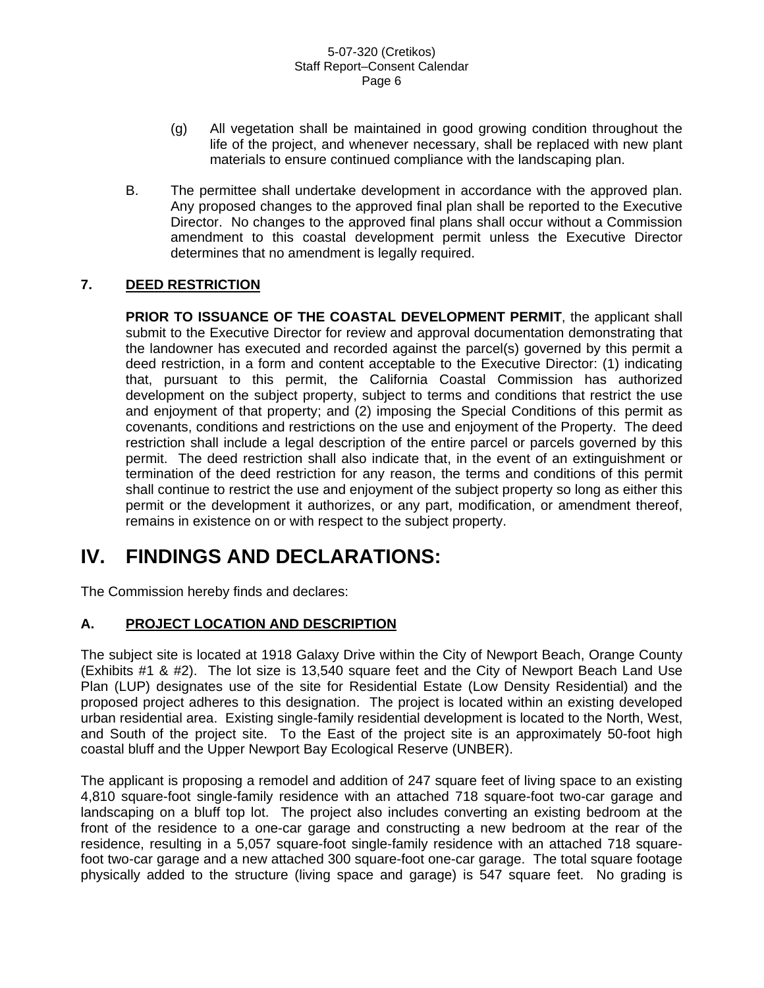- (g) All vegetation shall be maintained in good growing condition throughout the life of the project, and whenever necessary, shall be replaced with new plant materials to ensure continued compliance with the landscaping plan.
- B. The permittee shall undertake development in accordance with the approved plan. Any proposed changes to the approved final plan shall be reported to the Executive Director. No changes to the approved final plans shall occur without a Commission amendment to this coastal development permit unless the Executive Director determines that no amendment is legally required.

## **7. DEED RESTRICTION**

**PRIOR TO ISSUANCE OF THE COASTAL DEVELOPMENT PERMIT**, the applicant shall submit to the Executive Director for review and approval documentation demonstrating that the landowner has executed and recorded against the parcel(s) governed by this permit a deed restriction, in a form and content acceptable to the Executive Director: (1) indicating that, pursuant to this permit, the California Coastal Commission has authorized development on the subject property, subject to terms and conditions that restrict the use and enjoyment of that property; and (2) imposing the Special Conditions of this permit as covenants, conditions and restrictions on the use and enjoyment of the Property. The deed restriction shall include a legal description of the entire parcel or parcels governed by this permit. The deed restriction shall also indicate that, in the event of an extinguishment or termination of the deed restriction for any reason, the terms and conditions of this permit shall continue to restrict the use and enjoyment of the subject property so long as either this permit or the development it authorizes, or any part, modification, or amendment thereof, remains in existence on or with respect to the subject property.

# **IV. FINDINGS AND DECLARATIONS:**

The Commission hereby finds and declares:

## **A. PROJECT LOCATION AND DESCRIPTION**

The subject site is located at 1918 Galaxy Drive within the City of Newport Beach, Orange County (Exhibits #1 & #2). The lot size is 13,540 square feet and the City of Newport Beach Land Use Plan (LUP) designates use of the site for Residential Estate (Low Density Residential) and the proposed project adheres to this designation. The project is located within an existing developed urban residential area. Existing single-family residential development is located to the North, West, and South of the project site. To the East of the project site is an approximately 50-foot high coastal bluff and the Upper Newport Bay Ecological Reserve (UNBER).

The applicant is proposing a remodel and addition of 247 square feet of living space to an existing 4,810 square-foot single-family residence with an attached 718 square-foot two-car garage and landscaping on a bluff top lot. The project also includes converting an existing bedroom at the front of the residence to a one-car garage and constructing a new bedroom at the rear of the residence, resulting in a 5,057 square-foot single-family residence with an attached 718 squarefoot two-car garage and a new attached 300 square-foot one-car garage. The total square footage physically added to the structure (living space and garage) is 547 square feet. No grading is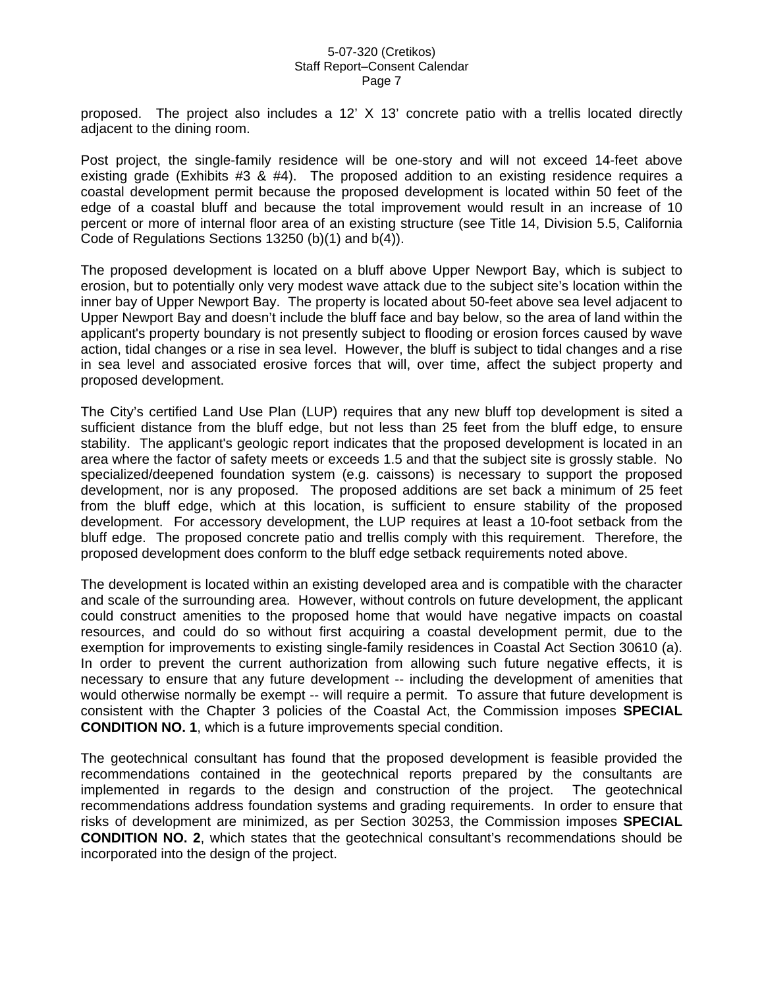proposed. The project also includes a 12' X 13' concrete patio with a trellis located directly adjacent to the dining room.

Post project, the single-family residence will be one-story and will not exceed 14-feet above existing grade (Exhibits #3 & #4). The proposed addition to an existing residence requires a coastal development permit because the proposed development is located within 50 feet of the edge of a coastal bluff and because the total improvement would result in an increase of 10 percent or more of internal floor area of an existing structure (see Title 14, Division 5.5, California Code of Regulations Sections 13250 (b)(1) and b(4)).

The proposed development is located on a bluff above Upper Newport Bay, which is subject to erosion, but to potentially only very modest wave attack due to the subject site's location within the inner bay of Upper Newport Bay. The property is located about 50-feet above sea level adjacent to Upper Newport Bay and doesn't include the bluff face and bay below, so the area of land within the applicant's property boundary is not presently subject to flooding or erosion forces caused by wave action, tidal changes or a rise in sea level. However, the bluff is subject to tidal changes and a rise in sea level and associated erosive forces that will, over time, affect the subject property and proposed development.

The City's certified Land Use Plan (LUP) requires that any new bluff top development is sited a sufficient distance from the bluff edge, but not less than 25 feet from the bluff edge, to ensure stability. The applicant's geologic report indicates that the proposed development is located in an area where the factor of safety meets or exceeds 1.5 and that the subject site is grossly stable. No specialized/deepened foundation system (e.g. caissons) is necessary to support the proposed development, nor is any proposed. The proposed additions are set back a minimum of 25 feet from the bluff edge, which at this location, is sufficient to ensure stability of the proposed development. For accessory development, the LUP requires at least a 10-foot setback from the bluff edge. The proposed concrete patio and trellis comply with this requirement. Therefore, the proposed development does conform to the bluff edge setback requirements noted above.

The development is located within an existing developed area and is compatible with the character and scale of the surrounding area. However, without controls on future development, the applicant could construct amenities to the proposed home that would have negative impacts on coastal resources, and could do so without first acquiring a coastal development permit, due to the exemption for improvements to existing single-family residences in Coastal Act Section 30610 (a). In order to prevent the current authorization from allowing such future negative effects, it is necessary to ensure that any future development -- including the development of amenities that would otherwise normally be exempt -- will require a permit. To assure that future development is consistent with the Chapter 3 policies of the Coastal Act, the Commission imposes **SPECIAL CONDITION NO. 1**, which is a future improvements special condition.

The geotechnical consultant has found that the proposed development is feasible provided the recommendations contained in the geotechnical reports prepared by the consultants are implemented in regards to the design and construction of the project. The geotechnical recommendations address foundation systems and grading requirements. In order to ensure that risks of development are minimized, as per Section 30253, the Commission imposes **SPECIAL CONDITION NO. 2**, which states that the geotechnical consultant's recommendations should be incorporated into the design of the project.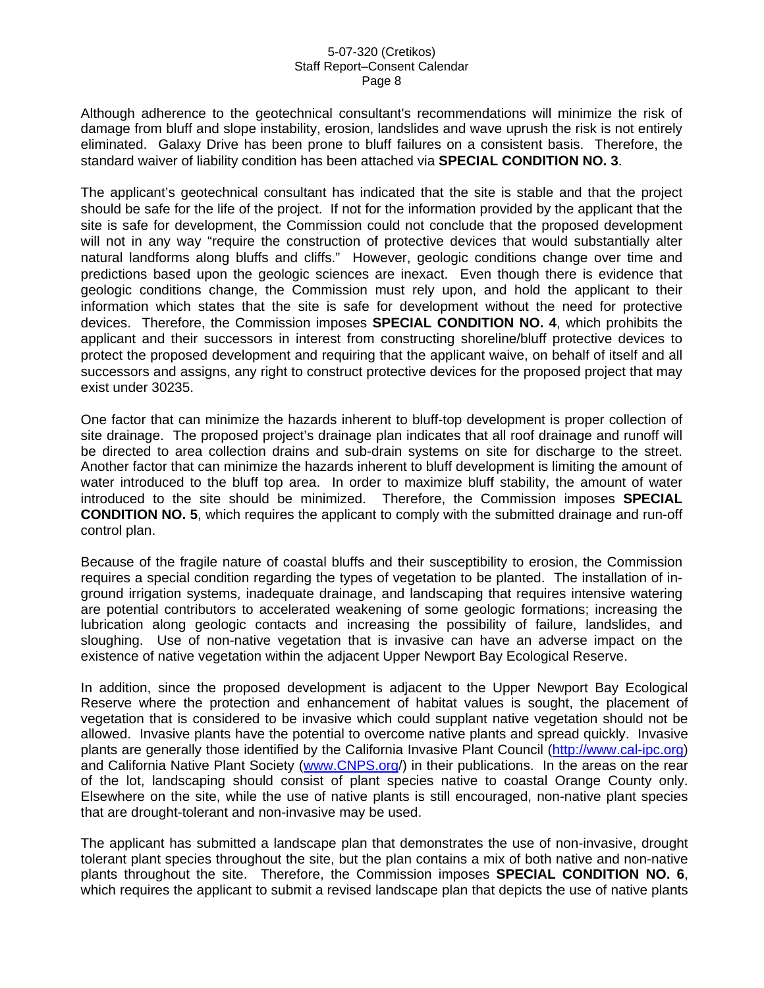Although adherence to the geotechnical consultant's recommendations will minimize the risk of damage from bluff and slope instability, erosion, landslides and wave uprush the risk is not entirely eliminated. Galaxy Drive has been prone to bluff failures on a consistent basis. Therefore, the standard waiver of liability condition has been attached via **SPECIAL CONDITION NO. 3**.

The applicant's geotechnical consultant has indicated that the site is stable and that the project should be safe for the life of the project. If not for the information provided by the applicant that the site is safe for development, the Commission could not conclude that the proposed development will not in any way "require the construction of protective devices that would substantially alter natural landforms along bluffs and cliffs." However, geologic conditions change over time and predictions based upon the geologic sciences are inexact. Even though there is evidence that geologic conditions change, the Commission must rely upon, and hold the applicant to their information which states that the site is safe for development without the need for protective devices. Therefore, the Commission imposes **SPECIAL CONDITION NO. 4**, which prohibits the applicant and their successors in interest from constructing shoreline/bluff protective devices to protect the proposed development and requiring that the applicant waive, on behalf of itself and all successors and assigns, any right to construct protective devices for the proposed project that may exist under 30235.

One factor that can minimize the hazards inherent to bluff-top development is proper collection of site drainage. The proposed project's drainage plan indicates that all roof drainage and runoff will be directed to area collection drains and sub-drain systems on site for discharge to the street. Another factor that can minimize the hazards inherent to bluff development is limiting the amount of water introduced to the bluff top area. In order to maximize bluff stability, the amount of water introduced to the site should be minimized. Therefore, the Commission imposes **SPECIAL CONDITION NO. 5**, which requires the applicant to comply with the submitted drainage and run-off control plan.

Because of the fragile nature of coastal bluffs and their susceptibility to erosion, the Commission requires a special condition regarding the types of vegetation to be planted. The installation of inground irrigation systems, inadequate drainage, and landscaping that requires intensive watering are potential contributors to accelerated weakening of some geologic formations; increasing the lubrication along geologic contacts and increasing the possibility of failure, landslides, and sloughing. Use of non-native vegetation that is invasive can have an adverse impact on the existence of native vegetation within the adjacent Upper Newport Bay Ecological Reserve.

In addition, since the proposed development is adjacent to the Upper Newport Bay Ecological Reserve where the protection and enhancement of habitat values is sought, the placement of vegetation that is considered to be invasive which could supplant native vegetation should not be allowed. Invasive plants have the potential to overcome native plants and spread quickly. Invasive plants are generally those identified by the California Invasive Plant Council ([http://www.cal-ipc.org](http://www.cale-pipc.org/)) and California Native Plant Society [\(www.CNPS.org/](http://www.cnps.org/)) in their publications. In the areas on the rear of the lot, landscaping should consist of plant species native to coastal Orange County only. Elsewhere on the site, while the use of native plants is still encouraged, non-native plant species that are drought-tolerant and non-invasive may be used.

The applicant has submitted a landscape plan that demonstrates the use of non-invasive, drought tolerant plant species throughout the site, but the plan contains a mix of both native and non-native plants throughout the site. Therefore, the Commission imposes **SPECIAL CONDITION NO. 6**, which requires the applicant to submit a revised landscape plan that depicts the use of native plants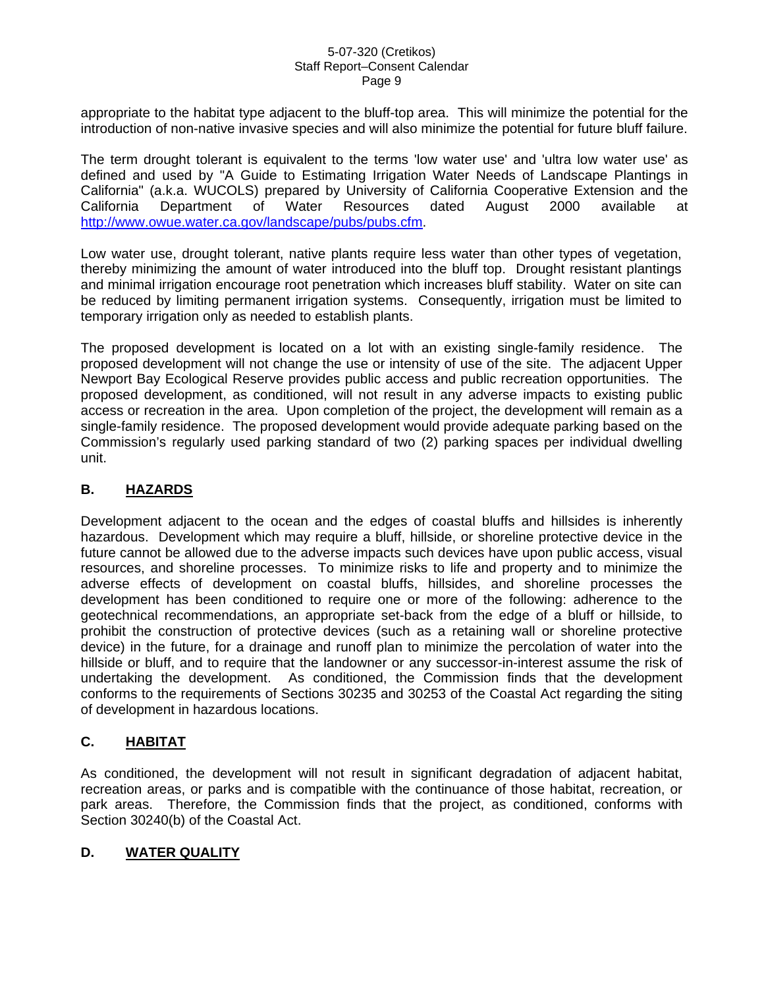appropriate to the habitat type adjacent to the bluff-top area. This will minimize the potential for the introduction of non-native invasive species and will also minimize the potential for future bluff failure.

The term drought tolerant is equivalent to the terms 'low water use' and 'ultra low water use' as defined and used by "A Guide to Estimating Irrigation Water Needs of Landscape Plantings in California" (a.k.a. WUCOLS) prepared by University of California Cooperative Extension and the California Department of Water Resources dated August 2000 available at [http://www.owue.water.ca.gov/landscape/pubs/pubs.cfm.](http://www.owue.water.ca.gov/landscape/pubs/pubs.cfm)

Low water use, drought tolerant, native plants require less water than other types of vegetation, thereby minimizing the amount of water introduced into the bluff top. Drought resistant plantings and minimal irrigation encourage root penetration which increases bluff stability. Water on site can be reduced by limiting permanent irrigation systems. Consequently, irrigation must be limited to temporary irrigation only as needed to establish plants.

The proposed development is located on a lot with an existing single-family residence. The proposed development will not change the use or intensity of use of the site. The adjacent Upper Newport Bay Ecological Reserve provides public access and public recreation opportunities. The proposed development, as conditioned, will not result in any adverse impacts to existing public access or recreation in the area. Upon completion of the project, the development will remain as a single-family residence. The proposed development would provide adequate parking based on the Commission's regularly used parking standard of two (2) parking spaces per individual dwelling unit.

### **B. HAZARDS**

Development adjacent to the ocean and the edges of coastal bluffs and hillsides is inherently hazardous. Development which may require a bluff, hillside, or shoreline protective device in the future cannot be allowed due to the adverse impacts such devices have upon public access, visual resources, and shoreline processes. To minimize risks to life and property and to minimize the adverse effects of development on coastal bluffs, hillsides, and shoreline processes the development has been conditioned to require one or more of the following: adherence to the geotechnical recommendations, an appropriate set-back from the edge of a bluff or hillside, to prohibit the construction of protective devices (such as a retaining wall or shoreline protective device) in the future, for a drainage and runoff plan to minimize the percolation of water into the hillside or bluff, and to require that the landowner or any successor-in-interest assume the risk of undertaking the development. As conditioned, the Commission finds that the development conforms to the requirements of Sections 30235 and 30253 of the Coastal Act regarding the siting of development in hazardous locations.

## **C. HABITAT**

As conditioned, the development will not result in significant degradation of adjacent habitat, recreation areas, or parks and is compatible with the continuance of those habitat, recreation, or park areas. Therefore, the Commission finds that the project, as conditioned, conforms with Section 30240(b) of the Coastal Act.

#### **D. WATER QUALITY**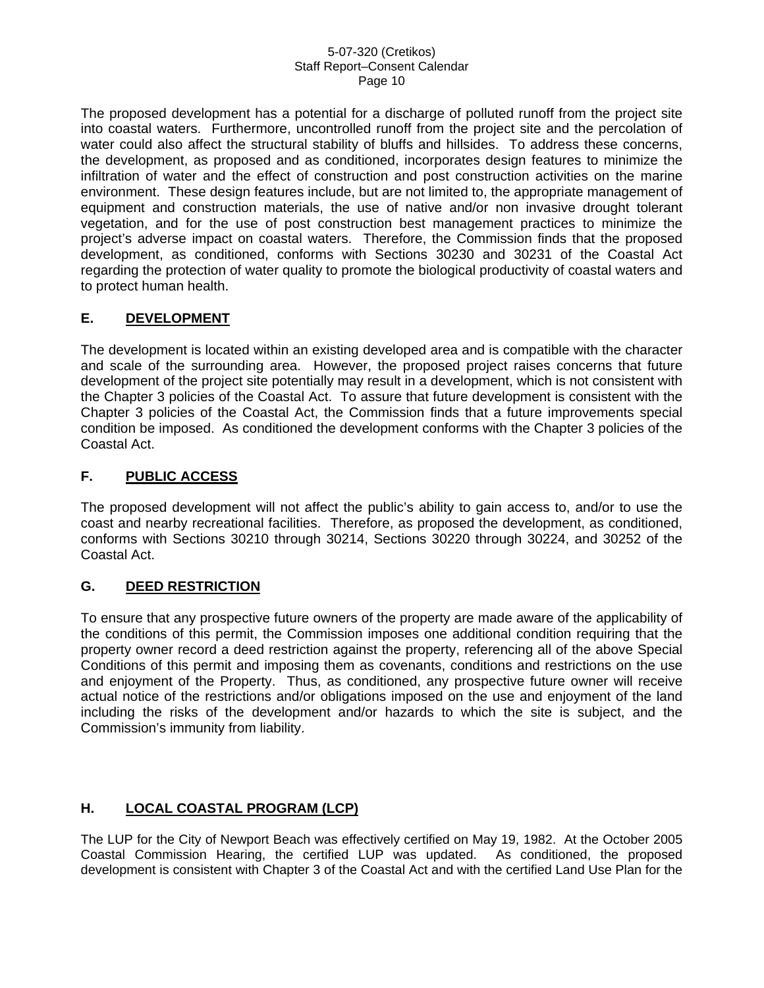The proposed development has a potential for a discharge of polluted runoff from the project site into coastal waters. Furthermore, uncontrolled runoff from the project site and the percolation of water could also affect the structural stability of bluffs and hillsides. To address these concerns, the development, as proposed and as conditioned, incorporates design features to minimize the infiltration of water and the effect of construction and post construction activities on the marine environment. These design features include, but are not limited to, the appropriate management of equipment and construction materials, the use of native and/or non invasive drought tolerant vegetation, and for the use of post construction best management practices to minimize the project's adverse impact on coastal waters. Therefore, the Commission finds that the proposed development, as conditioned, conforms with Sections 30230 and 30231 of the Coastal Act regarding the protection of water quality to promote the biological productivity of coastal waters and to protect human health.

## **E. DEVELOPMENT**

The development is located within an existing developed area and is compatible with the character and scale of the surrounding area. However, the proposed project raises concerns that future development of the project site potentially may result in a development, which is not consistent with the Chapter 3 policies of the Coastal Act. To assure that future development is consistent with the Chapter 3 policies of the Coastal Act, the Commission finds that a future improvements special condition be imposed. As conditioned the development conforms with the Chapter 3 policies of the Coastal Act.

## **F. PUBLIC ACCESS**

The proposed development will not affect the public's ability to gain access to, and/or to use the coast and nearby recreational facilities. Therefore, as proposed the development, as conditioned, conforms with Sections 30210 through 30214, Sections 30220 through 30224, and 30252 of the Coastal Act.

## **G. DEED RESTRICTION**

To ensure that any prospective future owners of the property are made aware of the applicability of the conditions of this permit, the Commission imposes one additional condition requiring that the property owner record a deed restriction against the property, referencing all of the above Special Conditions of this permit and imposing them as covenants, conditions and restrictions on the use and enjoyment of the Property. Thus, as conditioned, any prospective future owner will receive actual notice of the restrictions and/or obligations imposed on the use and enjoyment of the land including the risks of the development and/or hazards to which the site is subject, and the Commission's immunity from liability.

## **H. LOCAL COASTAL PROGRAM (LCP)**

The LUP for the City of Newport Beach was effectively certified on May 19, 1982. At the October 2005 Coastal Commission Hearing, the certified LUP was updated. As conditioned, the proposed development is consistent with Chapter 3 of the Coastal Act and with the certified Land Use Plan for the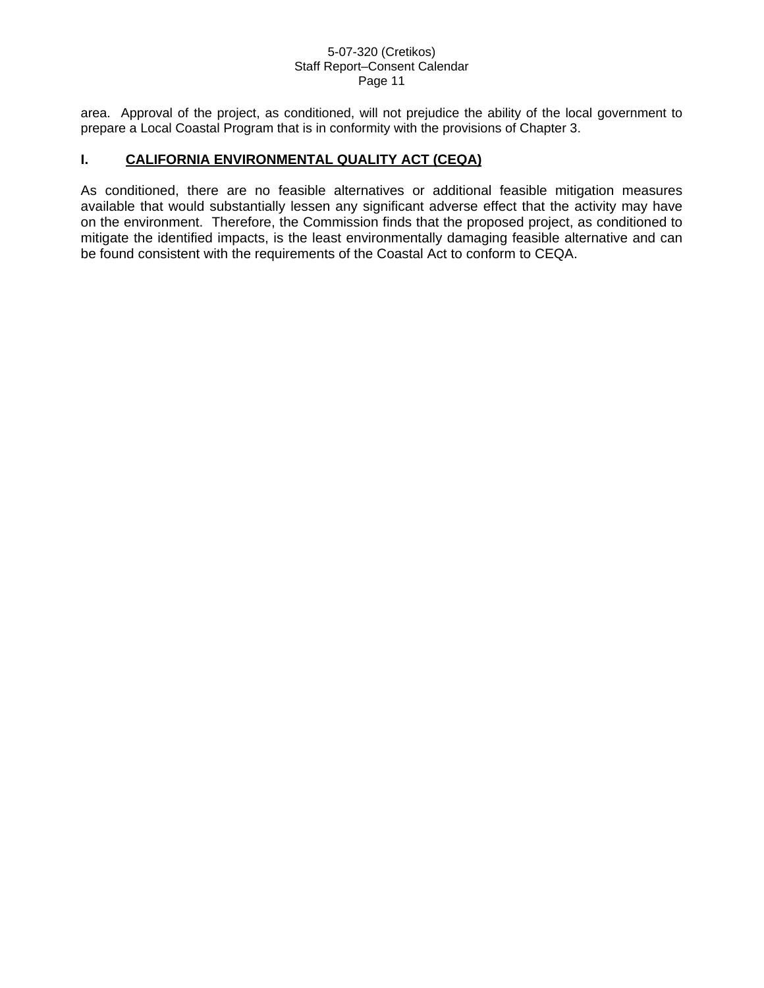area. Approval of the project, as conditioned, will not prejudice the ability of the local government to prepare a Local Coastal Program that is in conformity with the provisions of Chapter 3.

### **I. CALIFORNIA ENVIRONMENTAL QUALITY ACT (CEQA)**

As conditioned, there are no feasible alternatives or additional feasible mitigation measures available that would substantially lessen any significant adverse effect that the activity may have on the environment. Therefore, the Commission finds that the proposed project, as conditioned to mitigate the identified impacts, is the least environmentally damaging feasible alternative and can be found consistent with the requirements of the Coastal Act to conform to CEQA.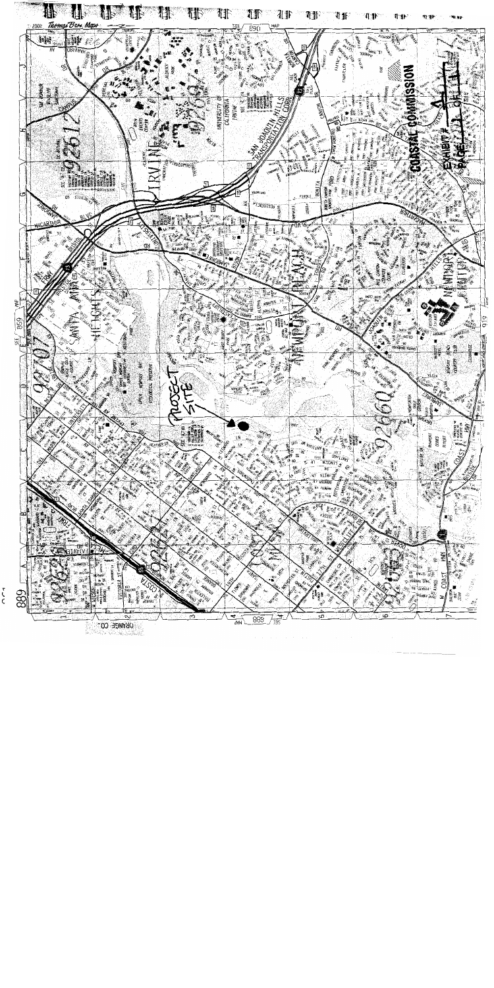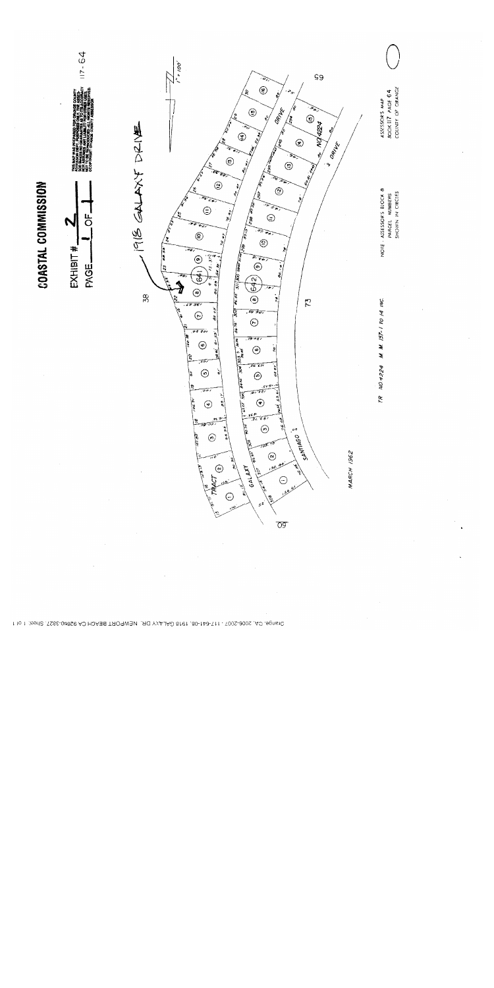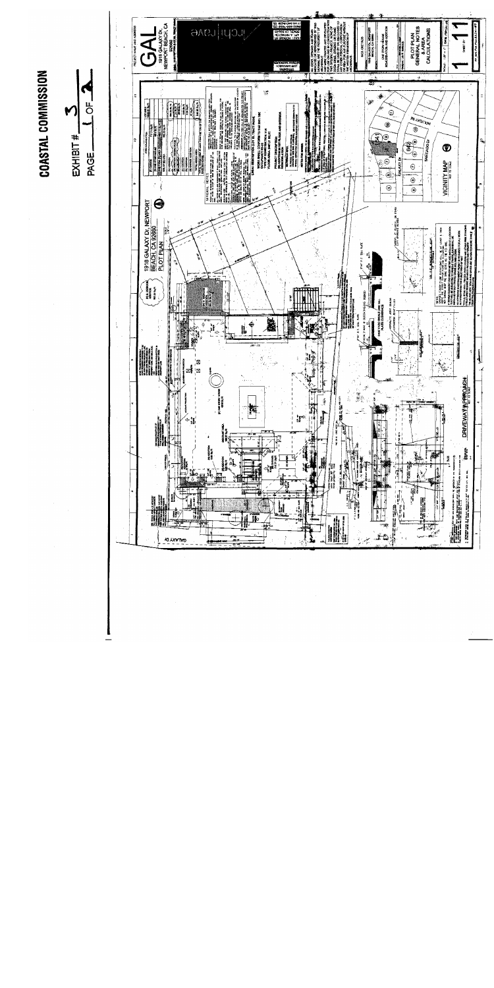COASTAL COMMISSION



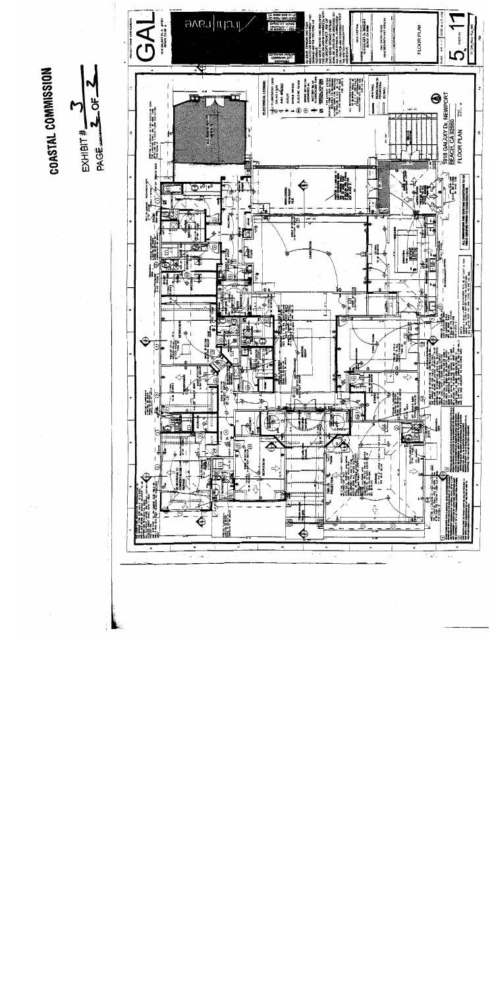COASTAL COMMISSION



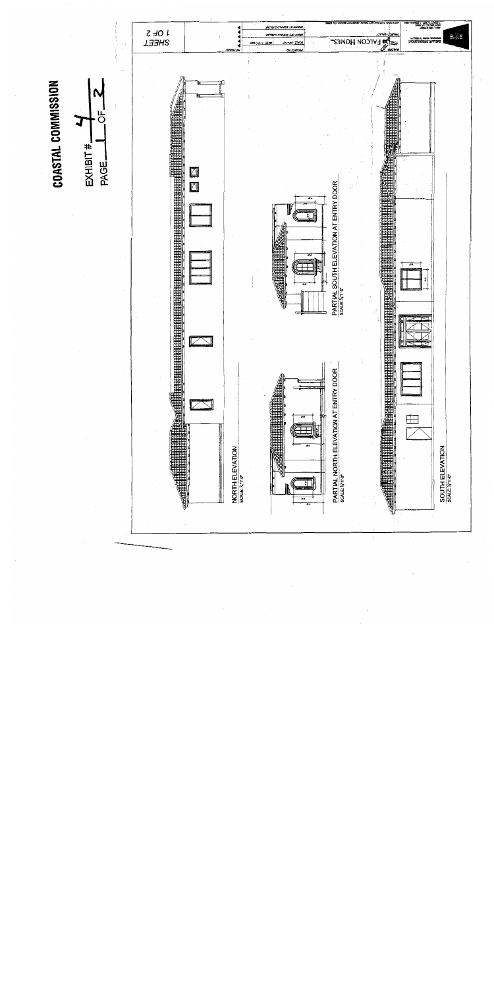